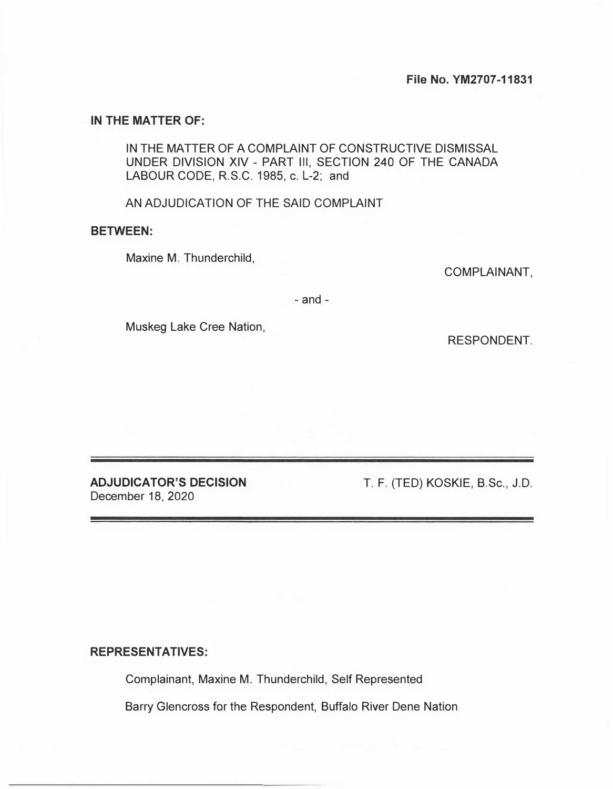## **IN THE MATTER OF:**

IN THE MATTER OF A COMPLAINT OF CONSTRUCTIVE DISMISSAL UNDER DIVISION XIV - PART Ill, SECTION 240 OF THE CANADA LABOUR CODE, R.S.C. 1985, c. L-2; and

AN ADJUDICATION OF THE SAID COMPLAINT

## **BETWEEN:**

Maxine M. Thunderchild,

COMPLAINANT,

- and -

Muskeg Lake Cree Nation,

RESPONDENT.

**ADJUDICATOR'S DECISION**  December 18, 2020

T. F. (TED) KOSKIE, B.Sc., J.D.

## **REPRESENTATIVES:**

Complainant, Maxine M. Thunderchild, Self Represented

Barry Glencross for the Respondent, Buffalo River Dene Nation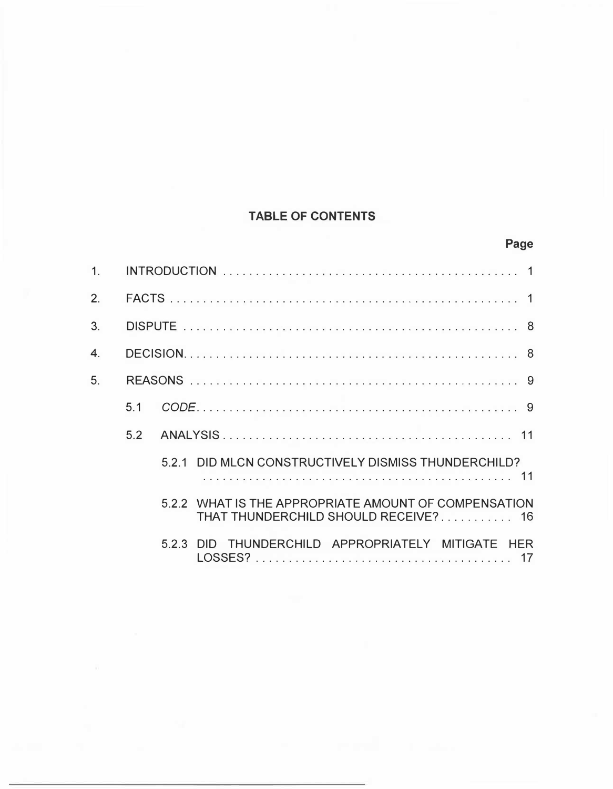# **TABLE OF CONTENTS**

| $\overline{2}$ . |     |                                                                                              |
|------------------|-----|----------------------------------------------------------------------------------------------|
| $\overline{3}$ . |     |                                                                                              |
| 4.               |     |                                                                                              |
| 5.               |     |                                                                                              |
|                  | 5.1 |                                                                                              |
|                  | 5.2 |                                                                                              |
|                  |     | DID MLCN CONSTRUCTIVELY DISMISS THUNDERCHILD?<br>5.2.1                                       |
|                  |     | 5.2.2 WHAT IS THE APPROPRIATE AMOUNT OF COMPENSATION<br>THAT THUNDERCHILD SHOULD RECEIVE? 16 |
|                  |     | DID THUNDERCHILD APPROPRIATELY MITIGATE HER<br>5.2.3                                         |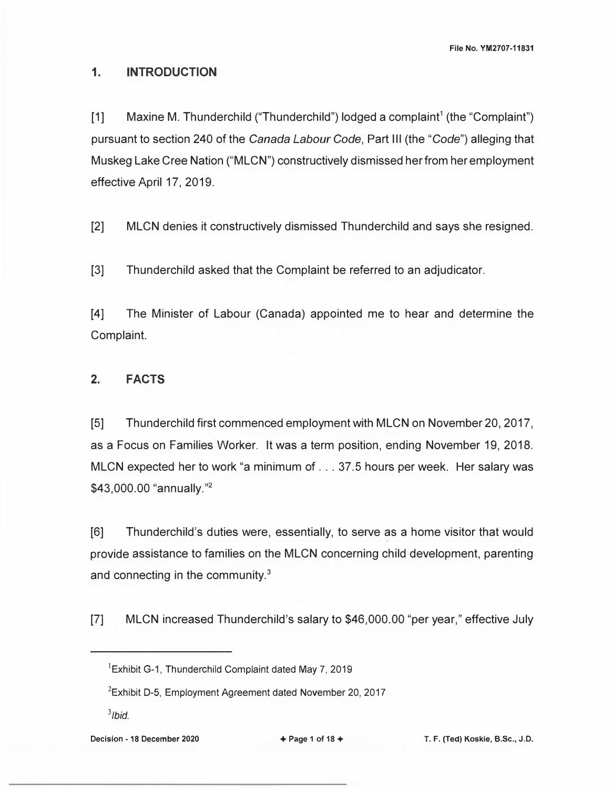**File No. YM2707-11831** 

## **1. INTRODUCTION**

[1] Maxine M. Thunderchild ("Thunderchild") lodged a complaint<sup>1</sup> (the "Complaint") pursuant to section 240 of the *Canada Labour Code,* Part Ill (the *"Code")* alleging that Muskeg Lake Cree Nation ("MLCN") constructively dismissed her from her employment effective April 17, 2019.

[2] MLCN denies it constructively dismissed Thunderchild and says she resigned.

[3] Thunderchild asked that the Complaint be referred to an adjudicator.

[4] The Minister of Labour (Canada) appointed me to hear and determine the Complaint.

# **2. FACTS**

[5] Thunderchild first commenced employment with MLCN on November 20, 2017, as a Focus on Families Worker. It was a term position, ending November 19, 2018. MLCN expected her to work "a minimum of .. . 37.5 hours per week. Her salary was \$43,000.00 "annually."<sup>2</sup>

[6] Thunderchild's duties were, essentially, to serve as a home visitor that would provide assistance to families on the MLCN concerning child development, parenting and connecting in the community.<sup>3</sup>

[7] MLCN increased Thunderchild's salary to \$46,000.00 "per year," effective July

*3 /bid.* 

**Decision - 18 December 2020** + **Page 1 of 18** + **T. F. (Ted) Koskie, B.Sc., J.D.** 

<sup>&#</sup>x27;Exhibit G-1, Thunderchild Complaint dated May 7, 2019

 $2$ Exhibit D-5, Employment Agreement dated November 20, 2017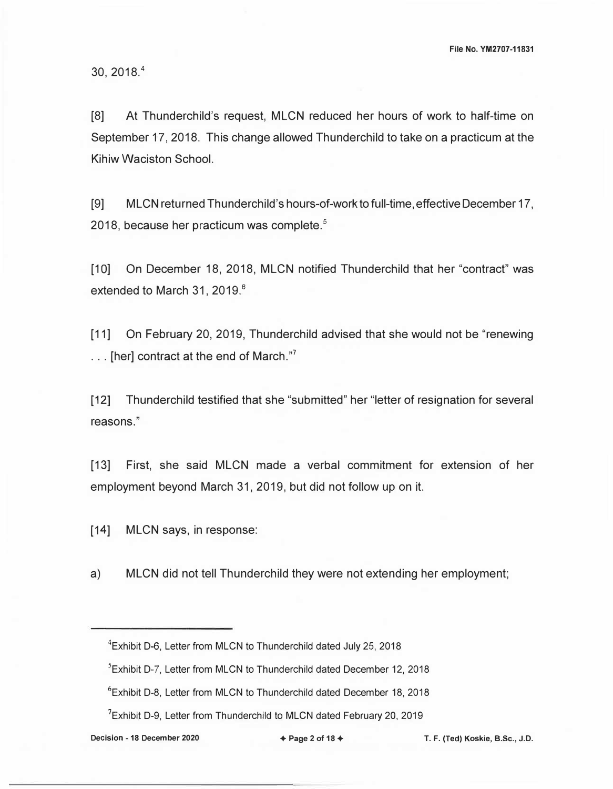30, 2018.<sup>4</sup>

[8] At Thunderchild's request, MLCN reduced her hours of work to half-time on September 17, 2018. This change allowed Thunderchild to take on a practicum at the Kihiw Waciston School.

[9] MLCN returned Thunderchild's hours-of-work to full-time, effective December 17, 2018, because her practicum was complete.<sup>5</sup>

[10] On December 18, 2018, MLCN notified Thunderchild that her "contract" was extended to March 31, 2019.<sup>6</sup>

[11] On February 20, 2019, Thunderchild advised that she would not be "renewing  $\ldots$  [her] contract at the end of March."<sup>7</sup>

[12] Thunderchild testified that she "submitted" her "letter of resignation for several reasons."

[13] First, she said MLCN made a verbal commitment for extension of her employment beyond March 31, 2019, but did not follow up on it.

[14] MLCN says, in response:

a) MLCN did not tell Thunderchild they were not extending her employment;

<sup>4</sup>Exhibit D-6, Letter from MLCN to Thunderchild dated July 25, 2018

<sup>&</sup>lt;sup>5</sup> Exhibit D-7, Letter from MLCN to Thunderchild dated December 12, 2018

<sup>6</sup>Exhibit D-8, Letter from MLCN to Thunderchild dated December 18, 2018

<sup>&</sup>lt;sup>7</sup>Exhibit D-9, Letter from Thunderchild to MLCN dated February 20, 2019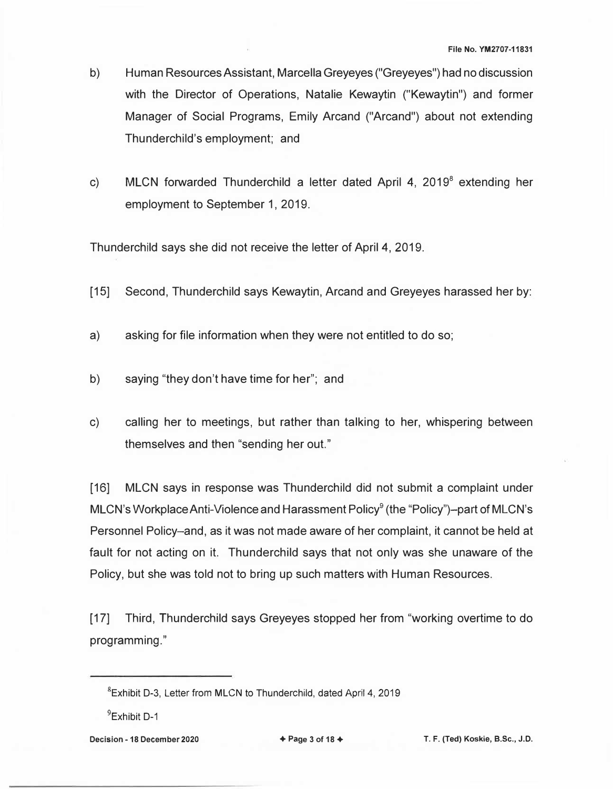- b) Human Resources Assistant, Marcella Greyeyes ("Greyeyes") had no discussion with the Director of Operations, Natalie Kewaytin ("Kewaytin") and former Manager of Social Programs, Emily Arcand ("Arcand") about not extending Thunderchild's employment; and
- c) MLCN forwarded Thunderchild a letter dated April 4, 2019<sup>8</sup> extending her employment to September 1, 2019.

Thunderchild says she did not receive the letter of April 4, 2019.

- [15] Second, Thunderchild says Kewaytin, Arcand and Greyeyes harassed her by:
- a) asking for file information when they were not entitled to do so;
- b) saying "they don't have time for her"; and
- c) calling her to meetings, but rather than talking to her, whispering between themselves and then "sending her out."

[16] MLCN says in response was Thunderchild did not submit a complaint under MLCN's Workplace Anti-Violence and Harassment Policy<sup>9</sup> (the "Policy")-part of MLCN's Personnel Policy-and, as it was not made aware of her complaint, it cannot be held at fault for not acting on it. Thunderchild says that not only was she unaware of the Policy, but she was told not to bring up such matters with Human Resources.

[17] Third, Thunderchild says Greyeyes stopped her from "working overtime to do programming."

<sup>8</sup> Exhibit D-3, Letter from MLCN to Thunderchild, dated April 4, 2019

<sup>9</sup> Exhibit D-1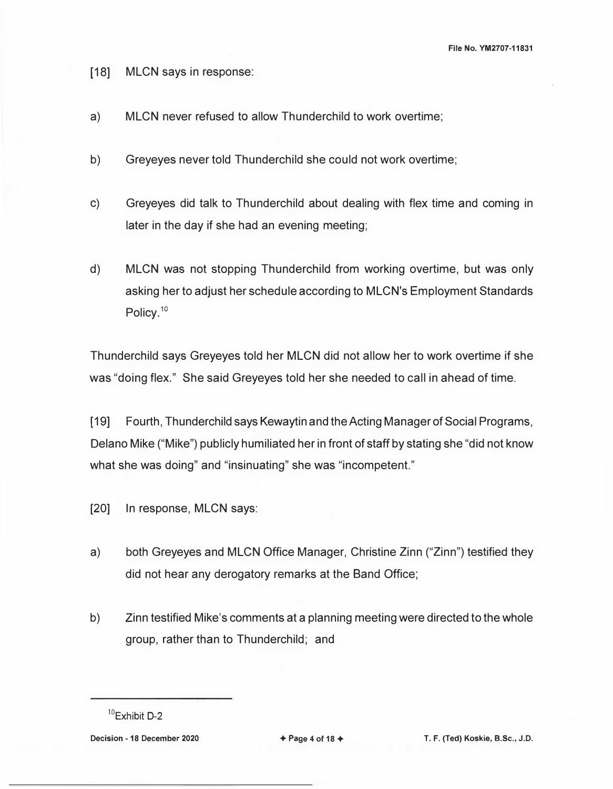**File No. YM2707-11831** 

- [18) MLCN says in response:
- a) MLCN never refused to allow Thunderchild to work overtime;
- b) Greyeyes never told Thunderchild she could not work overtime;
- c) Greyeyes did talk to Thunderchild about dealing with flex time and coming in later in the day if she had an evening meeting;
- d) MLCN was not stopping Thunderchild from working overtime, but was only asking her to adjust her schedule according to MLCN's Employment Standards Policy.<sup>10</sup>

Thunderchild says Greyeyes told her MLCN did not allow her to work overtime if she was "doing flex." She said Greyeyes told her she needed to call in ahead of time.

[19) Fourth, Thunderchild says Kewaytin and the Acting Manager of Social Programs, Delano Mike ("Mike") publicly humiliated her in front of staff by stating she "did not know what she was doing" and "insinuating" she was "incompetent."

- [20] In response, MLCN says:
- a) both Greyeyes and MLCN Office Manager, Christine Zinn ("Zinn") testified they did not hear any derogatory remarks at the Band Office;
- b) Zinn testified Mike's comments at a planning meeting were directed to the whole group, rather than to Thunderchild; and

**Decision - 18 December 2020** → **Page 4 of 18 + T. F. (Ted) Koskie, B.Sc., J.D.** 

<sup>10</sup>Exhibit D-2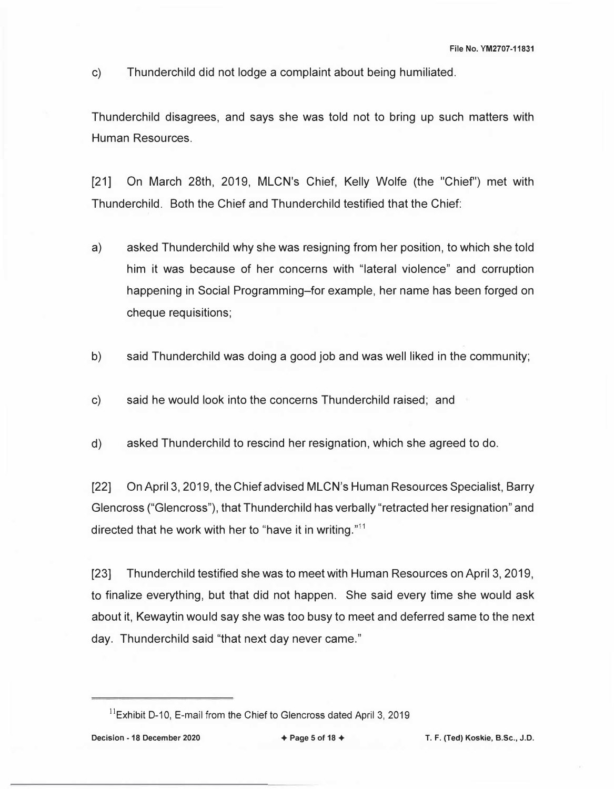c) Thunderchild did not lodge a complaint about being humiliated.

Thunderchild disagrees, and says she was told not to bring up such matters with Human Resources.

[21] On March 28th, 2019, MLCN's Chief, Kelly Wolfe (the "Chief') met with Thunderchild. Both the Chief and Thunderchild testified that the Chief:

- a) asked Thunderchild why she was resigning from her position, to which she told him it was because of her concerns with "lateral violence" and corruption happening in Social Programming-for example, her name has been forged on cheque requisitions;
- b) said Thunderchild was doing a good job and was well liked in the community;
- c) said he would look into the concerns Thunderchild raised; and
- d) asked Thunderchild to rescind her resignation, which she agreed to do.

[22) On April 3, 2019, the Chief advised MLCN's Human Resources Specialist, Barry Glencross ("Glencross"), that Thunderchild has verbally "retracted her resignation" and directed that he work with her to "have it in writing."<sup>11</sup>

[23) Thunderchild testified she was to meet with Human Resources on April 3, 2019, to finalize everything, but that did not happen. She said every time she would ask about it, Kewaytin would say she was too busy to meet and deferred same to the next day. Thunderchild said "that next day never came."

 $11$ Exhibit D-10, E-mail from the Chief to Glencross dated April 3, 2019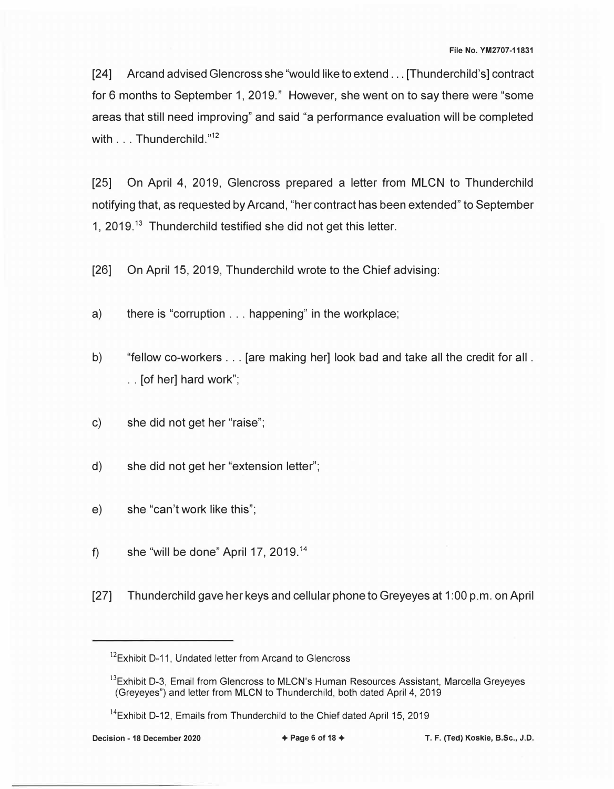[24] Arcand advised Glencross she "would like to extend ... [Thunderchild's] contract for 6 months to September 1, 2019." However, she went on to say there were "some areas that still need improving" and said "a performance evaluation will be completed with . . . Thunderchild."<sup>12</sup>

[25) On April 4, 2019, Glencross prepared a letter from MLCN to Thunderchild notifying that, as requested by Arcand, "her contract has been extended" to September 1,  $2019<sup>13</sup>$  Thunderchild testified she did not get this letter.

[26] On April 15, 2019, Thunderchild wrote to the Chief advising:

- a) there is "corruption ... happening" in the workplace;
- b) "fellow co-workers ... [are making her] look bad and take all the credit for all . . . [of her] hard work";
- c) she did not get her "raise";
- d) she did not get her "extension letter";
- e) she "can't work like this";
- f) she "will be done" April 17, 2019.<sup>14</sup>
- [27] Thunderchild gave her keys and cellular phone to Greyeyes at 1 :00 p.m. on April

<sup>&</sup>lt;sup>12</sup>Exhibit D-11, Undated letter from Arcand to Glencross

<sup>&</sup>lt;sup>13</sup>Exhibit D-3, Email from Glencross to MLCN's Human Resources Assistant, Marcella Greyeyes (Greyeyes") and letter from MLCN to Thunderchild, both dated April 4, 2019

 $14$ Exhibit D-12, Emails from Thunderchild to the Chief dated April 15, 2019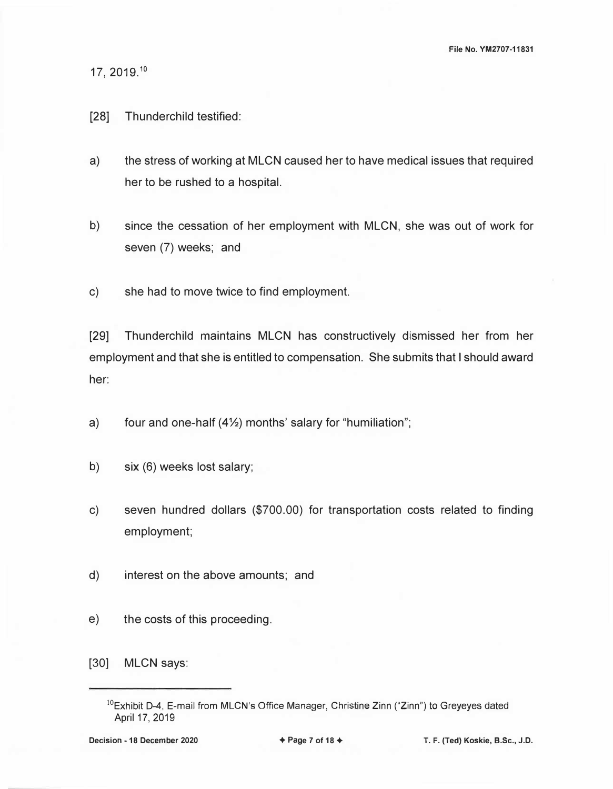17, 2019.<sup>10</sup>

## [28] Thunderchild testified:

- a) the stress of working at MLCN caused her to have medical issues that required her to be rushed to a hospital.
- b) since the cessation of her employment with MLCN, she was out of work for seven (7) weeks; and
- c) she had to move twice to find employment.

[29] Thunderchild maintains MLCN has constructively dismissed her from her employment and that she is entitled to compensation. She submits that I should award her:

- a) four and one-half  $(4\frac{1}{2})$  months' salary for "humiliation";
- b) six (6) weeks lost salary;
- c) seven hundred dollars (\$700.00) for transportation costs related to finding employment;
- d) interest on the above amounts; and
- e) the costs of this proceeding.

[30) MLCN says:

 $10$ Exhibit D-4, E-mail from MLCN's Office Manager, Christine Zinn ("Zinn") to Greyeyes dated April 17, 2019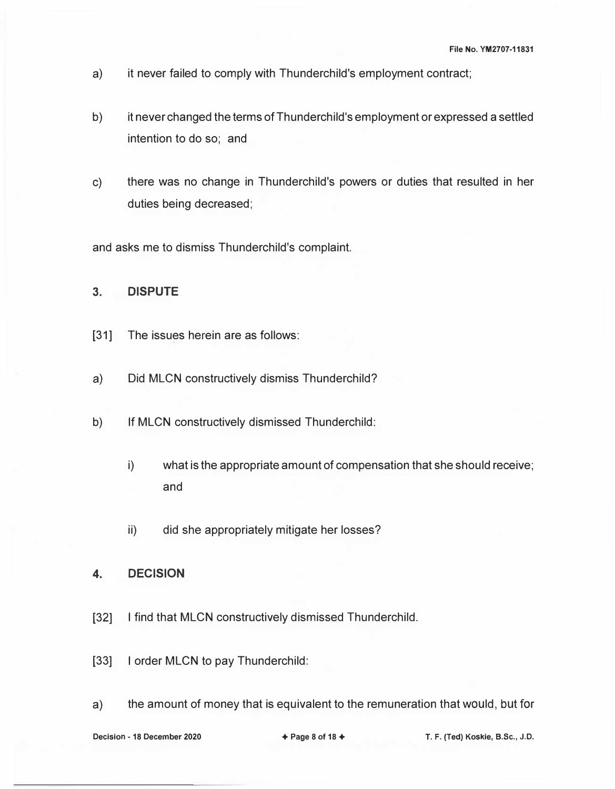- a) it never failed to comply with Thunderchild's employment contract;
- b) it never changed the terms of Thunderchild's employment or expressed a settled intention to do so; and
- c) there was no change in Thunderchild's powers or duties that resulted in her duties being decreased;

and asks me to dismiss Thunderchild's complaint.

## **3. DISPUTE**

- [31] The issues herein are as follows:
- a) Did MLCN constructively dismiss Thunderchild?
- b) If MLCN constructively dismissed Thunderchild:
	- i) what is the appropriate amount of compensation that she should receive; and
	- ii) did she appropriately mitigate her losses?
- **4. DECISION**
- [32] I find that MLCN constructively dismissed Thunderchild.
- [33] I order MLCN to pay Thunderchild:
- a) the amount of money that is equivalent to the remuneration that would, but for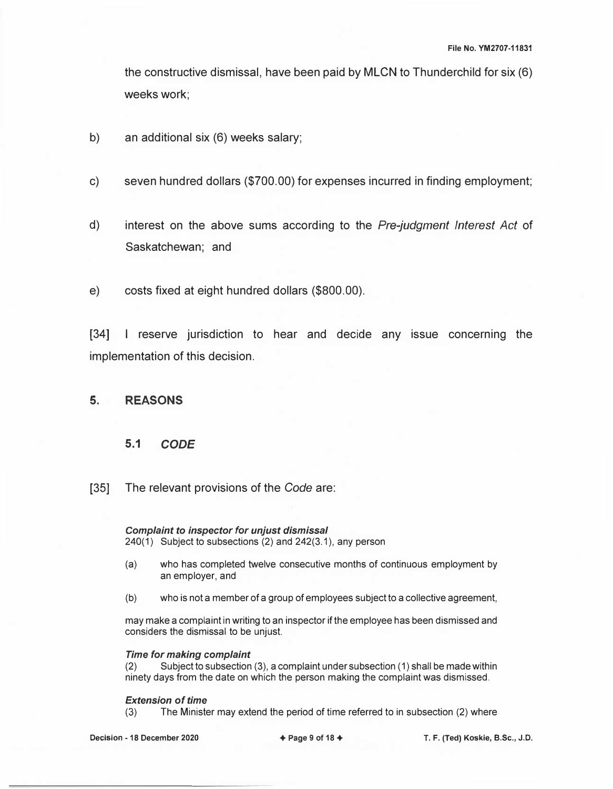the constructive dismissal, have been paid by MLCN to Thunderchild for six (6) weeks work;

- b) an additional six (6) weeks salary;
- c) seven hundred dollars (\$700.00) for expenses incurred in finding employment;
- d) interest on the above sums according to the *Pre-judgment Interest Act* of Saskatchewan; and
- e) costs fixed at eight hundred dollars (\$800.00).

[34] I reserve jurisdiction to hear and decide any issue concerning the implementation of this decision.

## **5. REASONS**

## **5.1** *CODE*

[35] The relevant provisions of the *Code* are:

*Complaint to inspector for unjust dismissal*  240(1) Subject to subsections (2) and 242(3.1 ), any person

- (a) who has completed twelve consecutive months of continuous employment by an employer, and
- (b) who is not a member of a group of employees subject to a collective agreement,

may make a complaint in writing to an inspector if the employee has been dismissed and considers the dismissal to be unjust.

# *Time for making complaint*

Subject to subsection (3), a complaint under subsection (1) shall be made within ninety days from the date on which the person making the complaint was dismissed.

#### *Extension of time*

(3) The Minister may extend the period of time referred to in subsection (2) where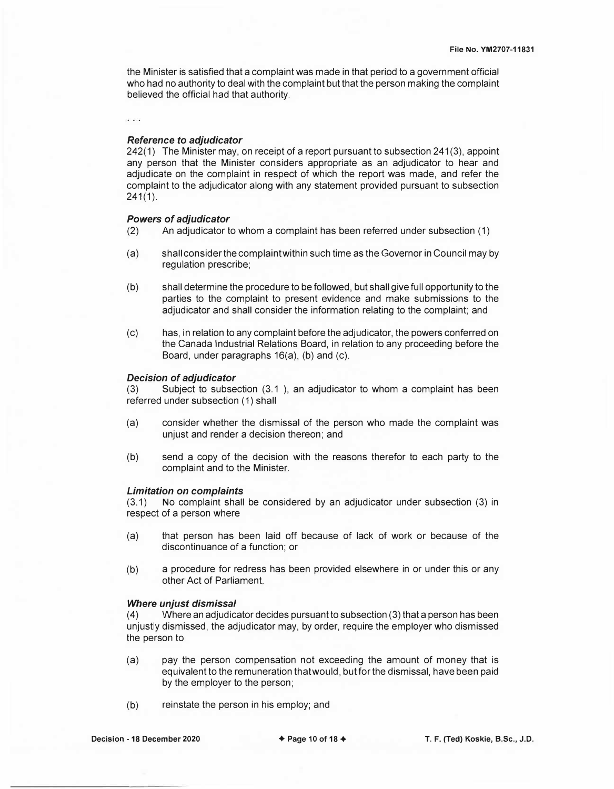the Minister is satisfied that a complaint was made in that period to a government official who had no authority to deal with the complaint but that the person making the complaint believed the official had that authority.

 $\sqrt{2}$ 

#### *Reference to adjudicator*

242(1) The Minister may, on receipt of a report pursuant to subsection 241(3), appoint any person that the Minister considers appropriate as an adjudicator to hear and adjudicate on the complaint in respect of which the report was made, and refer the complaint to the adjudicator along with any statement provided pursuant to subsection 241(1).

#### *Powers of adjudicator*

- (2) An adjudicator to whom a complaint has been referred under subsection (1)
- (a) shall consider the complaint within such time as the Governor in Council may by regulation prescribe;
- (b) shall determine the procedure to be followed, but shall give full opportunity to the parties to the complaint to present evidence and make submissions to the adjudicator and shall consider the information relating to the complaint; and
- (c) has, in relation to any complaint before the adjudicator, the powers conferred on the Canada Industrial Relations Board, in relation to any proceeding before the Board, under paragraphs 16(a), (b) and (c).

#### *Decision of adjudicator*

(3) Subject to subsection (3.1 ), an adjudicator to whom a complaint has been referred under subsection (1) shall

- (a) consider whether the dismissal of the person who made the complaint was unjust and render a decision thereon; and
- (b) send a copy of the decision with the reasons therefor to each party to the complaint and to the Minister.

#### *Limitation on complaints*

(3.1) No complaint shall be considered by an adjudicator under subsection (3) in respect of a person where

- (a) that person has been laid *off* because of lack of work or because of the discontinuance of a function; or
- (b) a procedure for redress has been provided elsewhere in or under this or any other Act of Parliament.

#### *Where unjust dismissal*

(4) Where an adjudicator decides pursuant to subsection (3) that a person has been unjustly dismissed, the adjudicator may, by order, require the employer who dismissed the person to

- (a) pay the person compensation not exceeding the amount of money that is equivalent to the remuneration that would, but for the dismissal, have been paid by the employer to the person;
- (b) reinstate the person in his employ; and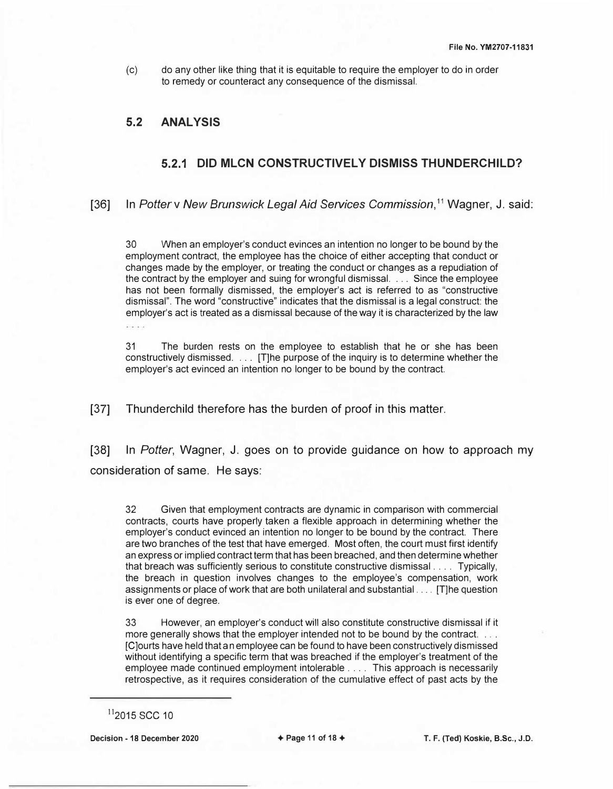(c) do any other like thing that it is equitable to require the employer to do in order to remedy or counteract any consequence of the dismissal.

## **5.2 ANALYSIS**

## **5.2.1 DID MLCN CONSTRUCTIVELY DISMISS THUNDERCHILD?**

[36] In *Potterv New Brunswick Legal Aid Services Commission, <sup>11</sup>*Wagner, J. said:

30 When an employer's conduct evinces an intention no longer to be bound by the employment contract, the employee has the choice of either accepting that conduct or changes made by the employer, or treating the conduct or changes as a repudiation of the contract by the employer and suing for wrongful dismissal. ... Since the employee has not been formally dismissed, the employer's act is referred to as "constructive dismissal". The word "constructive" indicates that the dismissal is a legal construct: the employer's act is treated as a dismissal because of the way it is characterized by the law ance pack

31 The burden rests on the employee to establish that he or she has been constructively dismissed. . . . [T]he purpose of the inquiry is to determine whether the employer's act evinced an intention no longer to be bound by the contract.

[37] Thunderchild therefore has the burden of proof in this matter.

[38] In *Potter,* Wagner, J. goes on to provide guidance on how to approach my consideration of same. He says:

32 Given that employment contracts are dynamic in comparison with commercial contracts, courts have properly taken a flexible approach in determining whether the employer's conduct evinced an intention no longer to be bound by the contract. There are two branches of the test that have emerged. Most often, the court must first identify an express or implied contract term that has been breached, and then determine whether that breach was sufficiently serious to constitute constructive dismissal . . . . Typically, the breach in question involves changes to the employee's compensation, work assignments or place of work that are both unilateral and substantial .... [T]he question is ever one of degree.

33 However, an employer's conduct will also constitute constructive dismissal if it more generally shows that the employer intended not to be bound by the contract. [C]ourts have held that an employee can be found to have been constructively dismissed without identifying a specific term that was breached if the employer's treatment of the employee made continued employment intolerable .... This approach is necessarily retrospective, as it requires consideration of the cumulative effect of past acts by the

**Decision - 18 December 2020** + **Page 11 of 18** + **T. F. (Ted) Koskie, B.Sc., J.D.** 

 $11$ <sub>2015</sub> SCC 10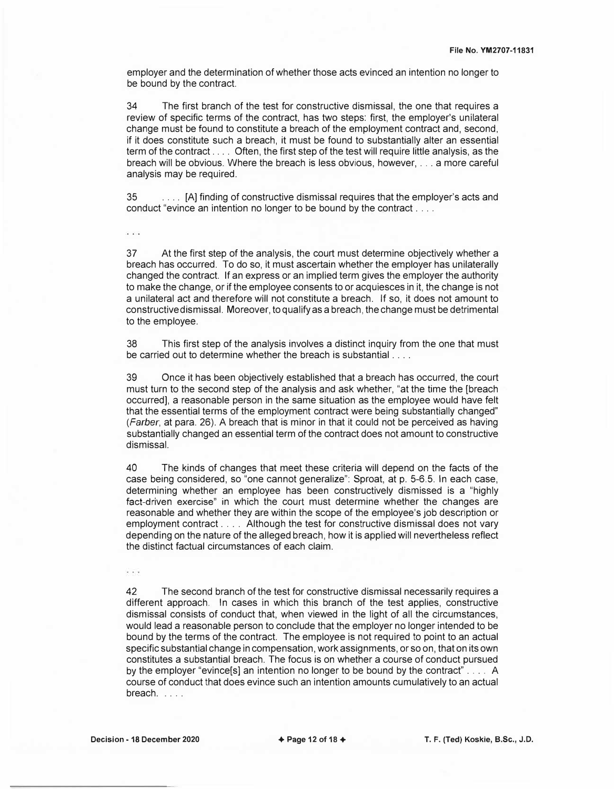employer and the determination of whether those acts evinced an intention no longer to be bound by the contract.

34 The first branch of the test for constructive dismissal, the one that requires a review of specific terms of the contract, has two steps: first, the employer's unilateral change must be found to constitute a breach of the employment contract and, second, if it does constitute such a breach, it must be found to substantially alter an essential term of the contract .... Often, the first step of the test will require little analysis, as the breach will be obvious. Where the breach is less obvious, however, ... a more careful analysis may be required.

35 .... [A] finding of constructive dismissal requires that the employer's acts and conduct "evince an intention no longer to be bound by the contract . . . .

37 At the first step of the analysis, the court must determine objectively whether a breach has occurred. To do so, it must ascertain whether the employer has unilaterally changed the contract. If an express or an implied term gives the employer the authority to make the change, or if the employee consents to or acquiesces in it, the change is not a unilateral act and therefore will not constitute a breach. If so, it does not amount to constructive dismissal. Moreover, to qualify as a breach, the change must be detrimental to the employee.

38 This first step of the analysis involves a distinct inquiry from the one that must be carried out to determine whether the breach is substantial ....

39 Once it has been objectively established that a breach has occurred, the court must turn to the second step of the analysis and ask whether, "at the time the [breach occurred], a reasonable person in the same situation as the employee would have felt that the essential terms of the employment contract were being substantially changed" *(Farber,* at para. 26). A breach that is minor in that it could not be perceived as having substantially changed an essential term of the contract does not amount to constructive dismissal.

40 The kinds of changes that meet these criteria will depend on the facts of the case being considered, so "one cannot generalize": Sproat, at p. 5-6.5. In each case, determining whether an employee has been constructively dismissed is a "highly fact-driven exercise" in which the court must determine whether the changes are reasonable and whether they are within the scope of the employee's job description or employment contract . . . . Although the test for constructive dismissal does not vary depending on the nature of the alleged breach, how it is applied will nevertheless reflect the distinct factual circumstances of each claim.

 $\cdots$ 

42 The second branch of the test for constructive dismissal necessarily requires a different approach. In cases in which this branch of the test applies, constructive dismissal consists of conduct that, when viewed in the light of all the circumstances, would lead a reasonable person to conclude that the employer no longer intended to be bound by the terms of the contract. The employee is not required to point to an actual specific substantial change in compensation, work assignments, or so on, that on its own constitutes a substantial breach. The focus is on whether a course of conduct pursued by the employer "evince[s] an intention no longer to be bound by the contract" . . . . A course of conduct that does evince such an intention amounts cumulatively to an actual breach....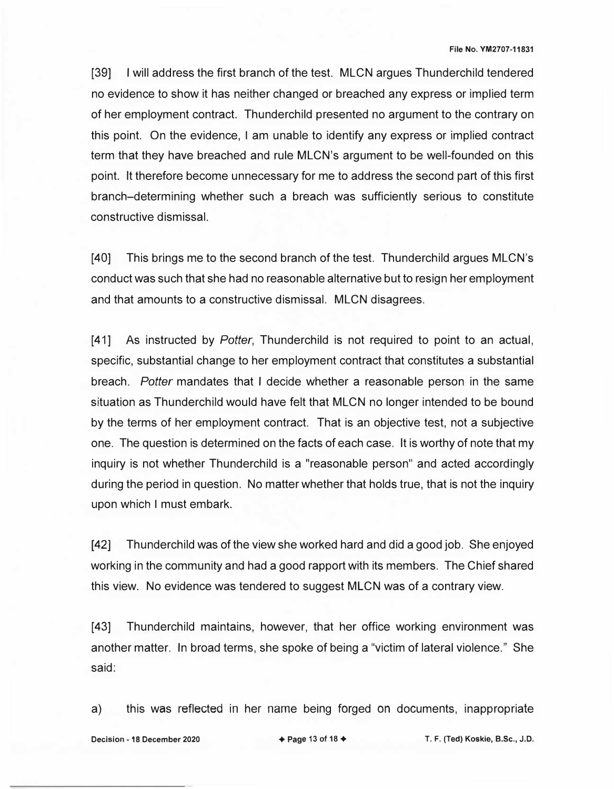[39] I will address the first branch of the test. MLCN argues Thunderchild tendered no evidence to show it has neither changed or breached any express or implied term of her employment contract. Thunderchild presented no argument to the contrary on this point. On the evidence, I am unable to identify any express or implied contract term that they have breached and rule MLCN's argument to be well-founded on this point. It therefore become unnecessary for me to address the second part of this first branch-determining whether such a breach was sufficiently serious to constitute constructive dismissal.

[40] This brings me to the second branch of the test. Thunderchild argues MLCN's conduct was such that she had no reasonable alternative but to resign her employment and that amounts to a constructive dismissal. MLCN disagrees.

[41] As instructed by *Potter,* Thunderchild is not required to point to an actual, specific, substantial change to her employment contract that constitutes a substantial breach. *Potter* mandates that I decide whether a reasonable person in the same situation as Thunderchild would have felt that MLCN no longer intended to be bound by the terms of her employment contract. That is an objective test, not a subjective one. The question is determined on the facts of each case. It is worthy of note that my inquiry is not whether Thunderchild is a "reasonable person" and acted accordingly during the period in question. No matter whether that holds true, that is not the inquiry upon which I must embark.

[42] Thunderchild was of the view she worked hard and did a good job. She enjoyed working in the community and had a good rapport with its members. The Chief shared this view. No evidence was tendered to suggest MLCN was of a contrary view.

[43] Thunderchild maintains, however, that her office working environment was another matter. In broad terms, she spoke of being a "victim of lateral violence." She said:

a) this was reflected in her name being forged on documents, inappropriate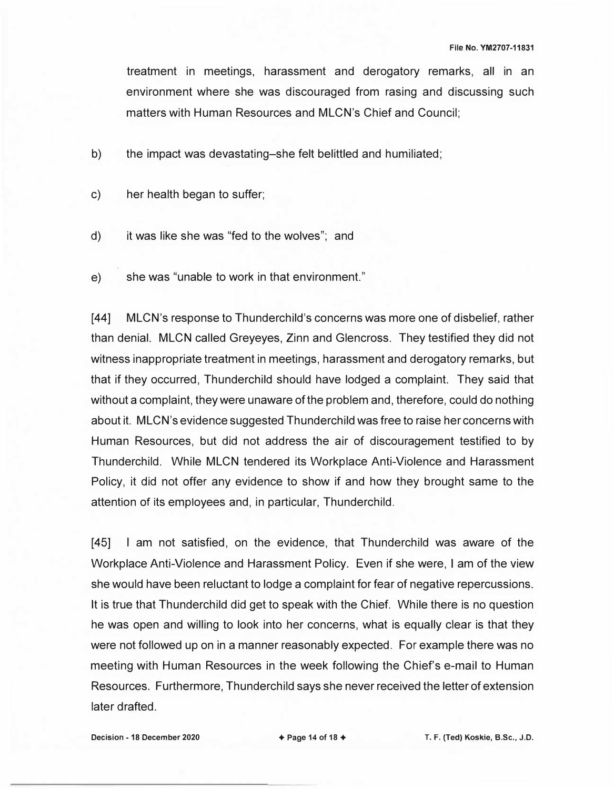treatment in meetings, harassment and derogatory remarks, all in an environment where she was discouraged from rasing and discussing such matters with Human Resources and MLCN's Chief and Council;

- b) the impact was devastating-she felt belittled and humiliated;
- c) her health began to suffer;
- d) it was like she was "fed to the wolves"; and
- e) she was "unable to work in that environment."

[44] MLCN's response to Thunderchild's concerns was more one of disbelief, rather than denial. MLCN called Greyeyes, Zinn and Glencross. They testified they did not witness inappropriate treatment in meetings, harassment and derogatory remarks, but that if they occurred, Thunderchild should have lodged a complaint. They said that without a complaint, they were unaware of the problem and, therefore, could do nothing about it. MLCN's evidence suggested Thunderchild was free to raise her concerns with Human Resources, but did not address the air of discouragement testified to by Thunderchild. While MLCN tendered its Workplace Anti-Violence and Harassment Policy, it did not offer any evidence to show if and how they brought same to the attention of its employees and, in particular, Thunderchild.

[45] I am not satisfied, on the evidence, that Thunderchild was aware of the Workplace Anti-Violence and Harassment Policy. Even if she were, I am of the view she would have been reluctant to lodge a complaint for fear of negative repercussions. It is true that Thunderchild did get to speak with the Chief. While there is no question he was open and willing to look into her concerns, what is equally clear is that they were not followed up on in a manner reasonably expected. For example there was no meeting with Human Resources in the week following the Chief's e-mail to Human Resources. Furthermore, Thunderchild says she never received the letter of extension later drafted.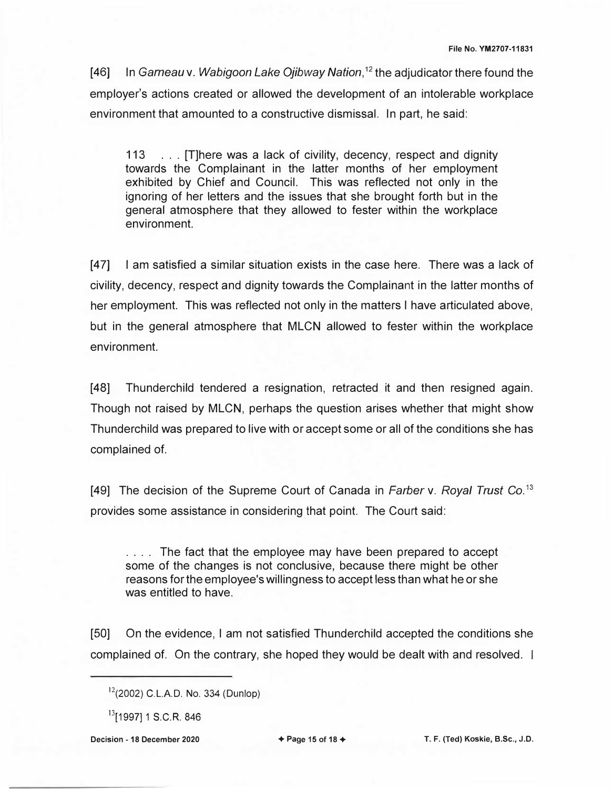[46] In *Garneau* v. *Wabigoon Lake Ojibway Nation,* <sup>12</sup>the adjudicator there found the employer's actions created or allowed the development of an intolerable workplace environment that amounted to a constructive dismissal. In part, he said:

113 ... [T]here was a lack of civility, decency, respect and dignity towards the Complainant in the latter months of her employment exhibited by Chief and Council. This was reflected not only in the ignoring of her letters and the issues that she brought forth but in the general atmosphere that they allowed to fester within the workplace environment.

[47] I am satisfied a similar situation exists in the case here. There was a lack of civility, decency, respect and dignity towards the Complainant in the latter months of her employment. This was reflected not only in the matters I have articulated above, but in the general atmosphere that MLCN allowed to fester within the workplace environment.

[48] Thunderchild tendered a resignation, retracted it and then resigned again. Though not raised by MLCN, perhaps the question arises whether that might show Thunderchild was prepared to live with or accept some or all of the conditions she has complained of.

[49] The decision of the Supreme Court of Canada in *Farber* v. *Royal Trust* Co. <sup>13</sup> provides some assistance in considering that point. The Court said:

.... The fact that the employee may have been prepared to accept some of the changes is not conclusive, because there might be other reasons for the employee's willingness to accept less than what he or she was entitled to have.

[50] On the evidence, I am not satisfied Thunderchild accepted the conditions she complained of. On the contrary, she hoped they would be dealt with and resolved. I

**Decision - 18 December 2020** → **Page 15 of 18 + <br>
T. F. (Ted) Koskie, B.Sc., J.D.** 

 $12(2002)$  C.L.A.D. No. 334 (Dunlop)

<sup>&</sup>lt;sup>13</sup>[1997] 1 S.C.R. 846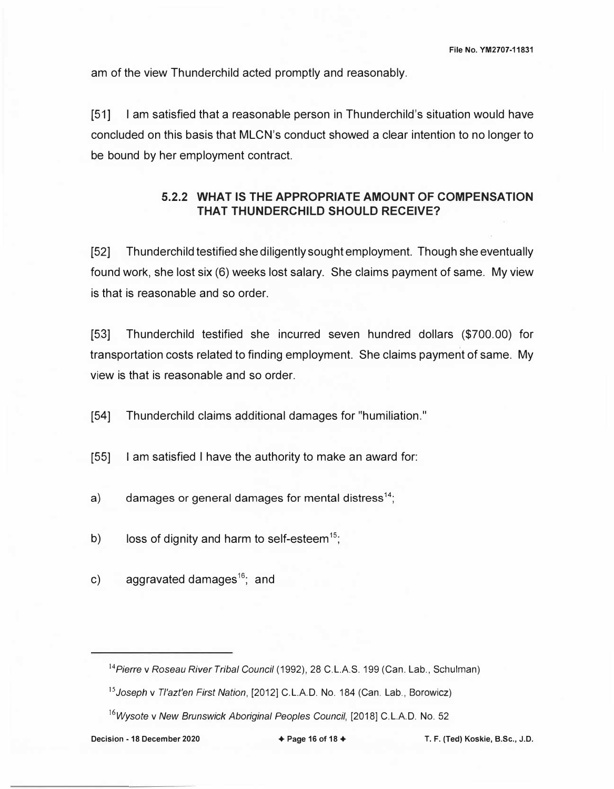am of the view Thunderchild acted promptly and reasonably.

[51] I am satisfied that a reasonable person in Thunderchild's situation would have concluded on this basis that MLCN's conduct showed a clear intention to no longer to be bound by her employment contract.

# **5.2.2 WHAT IS THE APPROPRIATE AMOUNT OF COMPENSATION THAT THUNDERCHILD SHOULD RECEIVE?**

[52] Thunderchild testified she diligently sought employment. Though she eventually found work, she lost six (6) weeks lost salary. She claims payment of same. My view is that is reasonable and so order.

[53] Thunderchild testified she incurred seven hundred dollars (\$700.00) for transportation costs related to finding employment. She claims payment of same. My view is that is reasonable and so order.

(54] Thunderchild claims additional damages for "humiliation."

[55] I am satisfied I have the authority to make an award for:

a) damages or general damages for mental distress<sup>14</sup>;

b) loss of dignity and harm to self-esteem<sup>15</sup>;

c) aggravated damages<sup>16</sup>; and

*<sup>14</sup>Pierre* v *Roseau River Tribal Council* (1992), 28 C.L.A.S. 199 (Can. Lab., Schulman)

*<sup>15</sup>Joseph* v *Tl'azt'en First Nation,* [2012] C.L.A.D. No. 184 (Can. Lab., Borowicz)

<sup>&</sup>lt;sup>16</sup>*Wysote v New Brunswick Aboriginal Peoples Council,* [2018] C.L.A.D. No. 52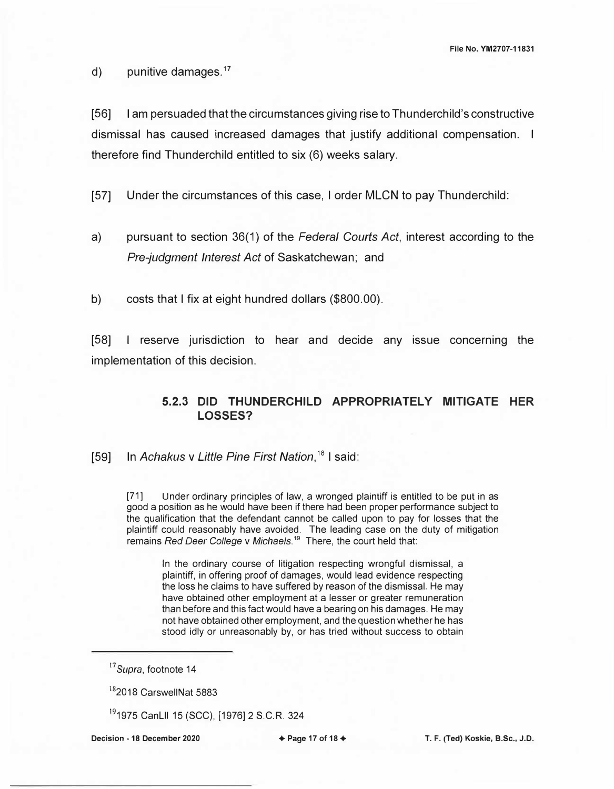d) punitive damages. $17$ 

[56] I am persuaded that the circumstances giving rise to Thunderchild's constructive dismissal has caused increased damages that justify additional compensation. I therefore find Thunderchild entitled to six (6) weeks salary.

[57] Under the circumstances of this case, I order MLCN to pay Thunderchild:

- a) pursuant to section 36(1) of the *Federal Courts Act,* interest according to the *Pre-judgment Interest Act* of Saskatchewan; and
- b) costs that I fix at eight hundred dollars (\$800.00).

[58] I reserve jurisdiction to hear and decide any issue concerning the implementation of this decision.

## **5.2.3 DID THUNDERCHILD APPROPRIATELY MITIGATE HER LOSSES?**

[59] In Achakus v Little Pine First Nation,<sup>18</sup> I said:

[71] Under ordinary principles of law, a wronged plaintiff is entitled to be put in as good a position as he would have been if there had been proper performance subject to the qualification that the defendant cannot be called upon to pay for losses that the plaintiff could reasonably have avoided. The leading case on the duty of mitigation remains *Red Deer College v Michaels*.<sup>19</sup> There, the court held that:

In the ordinary course of litigation respecting wrongful dismissal, a plaintiff, in offering proof of damages, would lead evidence respecting the loss he claims to have suffered by reason of the dismissal. He may have obtained other employment at a lesser or greater remuneration than before and this fact would have a bearing on his damages. He may not have obtained other employment, and the question whether he has stood idly or unreasonably by, or has tried without success to obtain

*<sup>17</sup>Supra,* footnote 14

<sup>&</sup>lt;sup>18</sup>2018 CarswellNat 5883

<sup>191975</sup> Canlll 15 (SCC), [1976] 2 S.C.R. 324